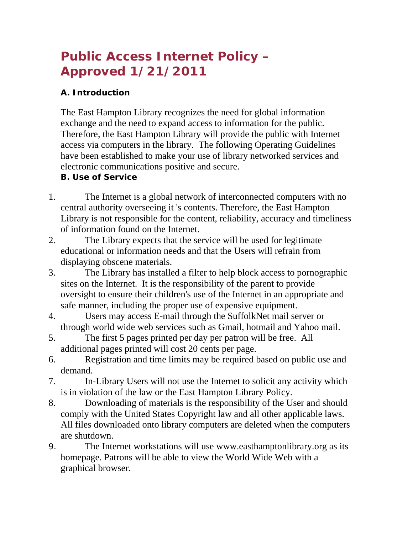# **Public Access Internet Policy – Approved 1/21/2011**

## **A. Introduction**

The East Hampton Library recognizes the need for global information exchange and the need to expand access to information for the public. Therefore, the East Hampton Library will provide the public with Internet access via computers in the library. The following Operating Guidelines have been established to make your use of library networked services and electronic communications positive and secure.

## **B. Use of Service**

- 1. The Internet is a global network of interconnected computers with no central authority overseeing it 's contents. Therefore, the East Hampton Library is not responsible for the content, reliability, accuracy and timeliness of information found on the Internet.
- 2. The Library expects that the service will be used for legitimate educational or information needs and that the Users will refrain from displaying obscene materials.
- 3. The Library has installed a filter to help block access to pornographic sites on the Internet. It is the responsibility of the parent to provide oversight to ensure their children's use of the Internet in an appropriate and safe manner, including the proper use of expensive equipment.
- 4. Users may access E-mail through the SuffolkNet mail server or through world wide web services such as Gmail, hotmail and Yahoo mail.
- 5. The first 5 pages printed per day per patron will be free. All additional pages printed will cost 20 cents per page.
- 6. Registration and time limits may be required based on public use and demand.
- 7. In-Library Users will not use the Internet to solicit any activity which is in violation of the law or the East Hampton Library Policy.
- 8. Downloading of materials is the responsibility of the User and should comply with the United States Copyright law and all other applicable laws. All files downloaded onto library computers are deleted when the computers are shutdown.
- 9. The Internet workstations will use www.easthamptonlibrary.org as its homepage. Patrons will be able to view the World Wide Web with a graphical browser.